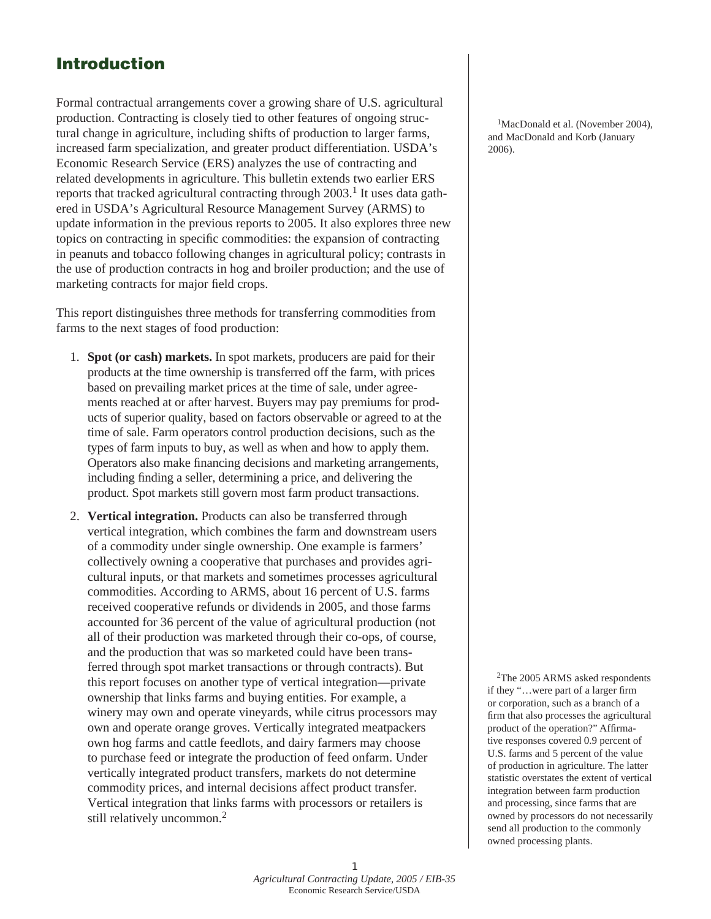## Introduction

Formal contractual arrangements cover a growing share of U.S. agricultural production. Contracting is closely tied to other features of ongoing structural change in agriculture, including shifts of production to larger farms, increased farm specialization, and greater product differentiation. USDA's Economic Research Service (ERS) analyzes the use of contracting and related developments in agriculture. This bulletin extends two earlier ERS reports that tracked agricultural contracting through  $2003$ .<sup>1</sup> It uses data gathered in USDA's Agricultural Resource Management Survey (ARMS) to update information in the previous reports to 2005. It also explores three new topics on contracting in specific commodities: the expansion of contracting in peanuts and tobacco following changes in agricultural policy; contrasts in the use of production contracts in hog and broiler production; and the use of marketing contracts for major field crops.

This report distinguishes three methods for transferring commodities from farms to the next stages of food production:

- 1. **Spot (or cash) markets.** In spot markets, producers are paid for their products at the time ownership is transferred off the farm, with prices based on prevailing market prices at the time of sale, under agreements reached at or after harvest. Buyers may pay premiums for products of superior quality, based on factors observable or agreed to at the time of sale. Farm operators control production decisions, such as the types of farm inputs to buy, as well as when and how to apply them. Operators also make financing decisions and marketing arrangements, including finding a seller, determining a price, and delivering the product. Spot markets still govern most farm product transactions.
- 2. **Vertical integration.** Products can also be transferred through vertical integration, which combines the farm and downstream users of a commodity under single ownership. One example is farmers' collectively owning a cooperative that purchases and provides agricultural inputs, or that markets and sometimes processes agricultural commodities. According to ARMS, about 16 percent of U.S. farms received cooperative refunds or dividends in 2005, and those farms accounted for 36 percent of the value of agricultural production (not all of their production was marketed through their co-ops, of course, and the production that was so marketed could have been transferred through spot market transactions or through contracts). But this report focuses on another type of vertical integration—private ownership that links farms and buying entities. For example, a winery may own and operate vineyards, while citrus processors may own and operate orange groves. Vertically integrated meatpackers own hog farms and cattle feedlots, and dairy farmers may choose to purchase feed or integrate the production of feed onfarm. Under vertically integrated product transfers, markets do not determine commodity prices, and internal decisions affect product transfer. Vertical integration that links farms with processors or retailers is still relatively uncommon.<sup>2</sup>

<sup>1</sup>MacDonald et al. (November 2004), and MacDonald and Korb (January 2006).

2The 2005 ARMS asked respondents if they "…were part of a larger firm or corporation, such as a branch of a firm that also processes the agricultural product of the operation?" Affirmative responses covered 0.9 percent of U.S. farms and 5 percent of the value of production in agriculture. The latter statistic overstates the extent of vertical integration between farm production and processing, since farms that are owned by processors do not necessarily send all production to the commonly owned processing plants.